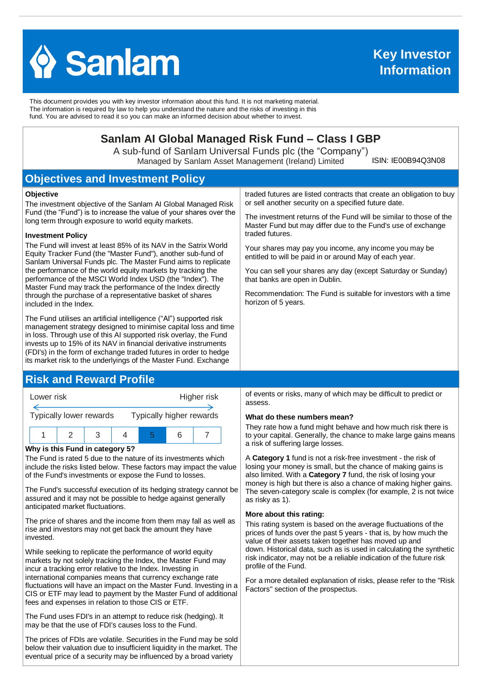

This document provides you with key investor information about this fund. It is not marketing material. The information is required by law to help you understand the nature and the risks of investing in this fund. You are advised to read it so you can make an informed decision about whether to invest.

# **Sanlam AI Global Managed Risk Fund – Class I GBP**

A sub-fund of Sanlam Universal Funds plc (the "Company") Managed by Sanlam Asset Management (Ireland) Limited

ISIN: IE00B94Q3N08

# **Objectives and Investment Policy**

#### **Objective**

The investment objective of the Sanlam AI Global Managed Risk Fund (the "Fund") is to increase the value of your shares over the long term through exposure to world equity markets.

#### **Investment Policy**

The Fund will invest at least 85% of its NAV in the Satrix World Equity Tracker Fund (the "Master Fund"), another sub-fund of Sanlam Universal Funds plc. The Master Fund aims to replicate the performance of the world equity markets by tracking the performance of the MSCI World Index USD (the "Index"). The Master Fund may track the performance of the Index directly through the purchase of a representative basket of shares included in the Index.

The Fund utilises an artificial intelligence ("AI") supported risk management strategy designed to minimise capital loss and time in loss. Through use of this AI supported risk overlay, the Fund invests up to 15% of its NAV in financial derivative instruments (FDI's) in the form of exchange traded futures in order to hedge its market risk to the underlyings of the Master Fund. Exchange

## **Risk and Reward Profile**



#### **Why is this Fund in category 5?**

The Fund is rated 5 due to the nature of its investments which include the risks listed below. These factors may impact the value of the Fund's investments or expose the Fund to losses.

The Fund's successful execution of its hedging strategy cannot be assured and it may not be possible to hedge against generally anticipated market fluctuations.

The price of shares and the income from them may fall as well as rise and investors may not get back the amount they have invested.

While seeking to replicate the performance of world equity markets by not solely tracking the Index, the Master Fund may incur a tracking error relative to the Index. Investing in international companies means that currency exchange rate fluctuations will have an impact on the Master Fund. Investing in a CIS or ETF may lead to payment by the Master Fund of additional fees and expenses in relation to those CIS or ETF.

The Fund uses FDI's in an attempt to reduce risk (hedging). It may be that the use of FDI's causes loss to the Fund.

The prices of FDIs are volatile. Securities in the Fund may be sold below their valuation due to insufficient liquidity in the market. The eventual price of a security may be influenced by a broad variety

traded futures are listed contracts that create an obligation to buy or sell another security on a specified future date.

The investment returns of the Fund will be similar to those of the Master Fund but may differ due to the Fund's use of exchange traded futures.

Your shares may pay you income, any income you may be entitled to will be paid in or around May of each year.

You can sell your shares any day (except Saturday or Sunday) that banks are open in Dublin.

Recommendation: The Fund is suitable for investors with a time horizon of 5 years.

of events or risks, many of which may be difficult to predict or assess.

#### **What do these numbers mean?**

They rate how a fund might behave and how much risk there is to your capital. Generally, the chance to make large gains means a risk of suffering large losses.

A **Category 1** fund is not a risk-free investment - the risk of losing your money is small, but the chance of making gains is also limited. With a **Category 7** fund, the risk of losing your money is high but there is also a chance of making higher gains. The seven-category scale is complex (for example, 2 is not twice as risky as 1).

#### **More about this rating:**

This rating system is based on the average fluctuations of the prices of funds over the past 5 years - that is, by how much the value of their assets taken together has moved up and down. Historical data, such as is used in calculating the synthetic risk indicator, may not be a reliable indication of the future risk profile of the Fund.

For a more detailed explanation of risks, please refer to the ''Risk Factors'' section of the prospectus.